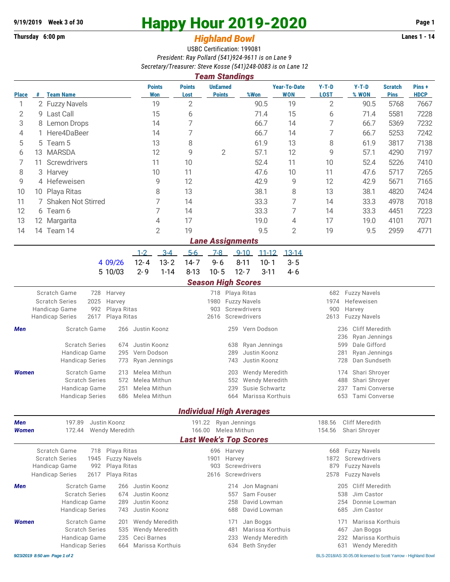## **Thursday 6:00 pm** *Highland Bowl* **Lanes 1 - 14**

## **9/19/2019 Week 3 of 30 Happy Hour 2019-2020 Page 1**

## USBC Certification: 199081 *President: Ray Pollard (541)924-9611 is on Lane 9 Secretary/Treasurer: Steve Kosse (541)248-0083 is on Lane 12*

|                               |                      |                                                                                            |  |              |               |                              |                       | <b>Team Standings</b>                                |          |                       |                                   |                                          |                                      |                               |                      |  |  |
|-------------------------------|----------------------|--------------------------------------------------------------------------------------------|--|--------------|---------------|------------------------------|-----------------------|------------------------------------------------------|----------|-----------------------|-----------------------------------|------------------------------------------|--------------------------------------|-------------------------------|----------------------|--|--|
| <b>Place</b>                  |                      | # Team Name                                                                                |  |              |               | <b>Points</b><br>Won         | <b>Points</b><br>Lost | <b>UnEarned</b><br><b>Points</b>                     |          | %Won                  | <b>Year-To-Date</b><br><b>WON</b> | $Y-T-D$<br><b>LOST</b>                   | $Y-T-D$<br>% WON                     | <b>Scratch</b><br><b>Pins</b> | Pins+<br><b>HDCP</b> |  |  |
| 1                             |                      | 2 Fuzzy Navels                                                                             |  |              |               | 19                           | $\overline{2}$        |                                                      |          | 90.5                  | 19                                | $\overline{2}$                           | 90.5                                 | 5768                          | 7667                 |  |  |
| 2                             | 9                    | Last Call                                                                                  |  |              |               | 15                           | 6                     |                                                      |          | 71.4                  | 15                                | 6                                        | 71.4                                 | 5581                          | 7228                 |  |  |
| 3                             |                      | 8 Lemon Drops                                                                              |  |              | 14            |                              | $\overline{7}$        |                                                      |          | 66.7                  | 14                                | 7                                        | 66.7                                 | 5369                          | 7232                 |  |  |
| 4                             | 1.                   | Here4DaBeer                                                                                |  | 14           |               | 7                            |                       |                                                      | 66.7     | 14                    | 7                                 | 66.7                                     | 5253                                 | 7242                          |                      |  |  |
| 5                             | 5                    | Team 5                                                                                     |  | 13           |               | 8                            |                       |                                                      | 61.9     | 13                    | 8                                 | 61.9                                     | 3817                                 | 7138                          |                      |  |  |
| 6                             | 13                   | <b>MARSDA</b>                                                                              |  | 12           |               | 9                            | $\overline{2}$        |                                                      | 57.1     | 12                    | 9                                 | 57.1                                     | 4290                                 | 7197                          |                      |  |  |
| 7                             | Screwdrivers<br>11   |                                                                                            |  | 11           |               | 10                           |                       |                                                      | 52.4     | 11                    | 10                                | 52.4                                     | 5226                                 | 7410                          |                      |  |  |
| 8                             | 3 Harvey             |                                                                                            |  | 10           |               | 11                           |                       |                                                      | 47.6     | 10                    | 11                                | 47.6                                     | 5717                                 | 7265                          |                      |  |  |
| 9                             | 4 Hefeweisen         |                                                                                            |  | 9            |               | 12                           |                       |                                                      | 42.9     | 9                     | 12                                | 42.9                                     | 5671                                 | 7165                          |                      |  |  |
| 10                            | Playa Ritas<br>10    |                                                                                            |  | 8            |               | 13                           |                       |                                                      | 38.1     | 8                     | 13                                | 38.1                                     | 4820                                 | 7424                          |                      |  |  |
| 11                            | 7 Shaken Not Stirred |                                                                                            |  |              |               | 7                            | 14                    |                                                      |          | 33.3                  | 7                                 | 14                                       | 33.3                                 | 4978                          | 7018                 |  |  |
| 12                            | 6 Team 6             |                                                                                            |  | 7            |               | 14                           |                       |                                                      | 33.3     | 7                     | 14                                | 33.3                                     | 4451                                 | 7223                          |                      |  |  |
| 13                            |                      | 12 Margarita                                                                               |  |              |               | 4                            | 17                    |                                                      |          | 19.0                  | 4                                 | 17                                       | 19.0                                 | 4101                          | 7071                 |  |  |
| 14                            |                      | 14 Team 14                                                                                 |  |              |               | $\overline{2}$               | 19                    |                                                      |          | 9.5                   | 2                                 | 19                                       | 9.5                                  | 2959                          | 4771                 |  |  |
|                               |                      |                                                                                            |  |              |               |                              |                       | <b>Lane Assignments</b>                              |          |                       |                                   |                                          |                                      |                               |                      |  |  |
|                               |                      |                                                                                            |  |              | $1 - 2$       | $3 - 4$                      | $5-6$                 | $7-8$                                                | $9 - 10$ | $11 - 12$             | $13 - 14$                         |                                          |                                      |                               |                      |  |  |
|                               |                      |                                                                                            |  | 4 09/26      | $12 - 4$      | $13 - 2$                     | $14 - 7$              | $9 - 6$                                              | $8 - 11$ | $10 - 1$              | $3 - 5$                           |                                          |                                      |                               |                      |  |  |
|                               |                      |                                                                                            |  | 5 10/03      | $2 - 9$       | $1 - 14$                     | $8 - 13$              | $10 - 5$                                             | $12 - 7$ | $3 - 11$              | $4 - 6$                           |                                          |                                      |                               |                      |  |  |
|                               |                      |                                                                                            |  |              |               |                              |                       | <b>Season High Scores</b>                            |          |                       |                                   |                                          |                                      |                               |                      |  |  |
| Scratch Game<br>Harvey<br>728 |                      |                                                                                            |  |              |               |                              | 718 Playa Ritas       |                                                      |          |                       |                                   | <b>Fuzzy Navels</b><br>682               |                                      |                               |                      |  |  |
|                               |                      | <b>Scratch Series</b><br>2025<br>Harvey                                                    |  |              |               |                              |                       | 1980<br><b>Fuzzy Navels</b>                          |          |                       |                                   |                                          | Hefeweisen<br>1974                   |                               |                      |  |  |
|                               |                      | 992<br>Handicap Game<br>Playa Ritas                                                        |  |              |               |                              |                       | 903<br>Screwdrivers                                  |          |                       |                                   |                                          | 900<br>Harvey                        |                               |                      |  |  |
|                               |                      | <b>Handicap Series</b><br>2617<br>Playa Ritas                                              |  |              |               | Screwdrivers<br>2616<br>2613 |                       |                                                      |          |                       |                                   | <b>Fuzzy Navels</b>                      |                                      |                               |                      |  |  |
| <b>Men</b>                    |                      | Scratch Game<br>266                                                                        |  |              | Justin Koonz  |                              | 259 Vern Dodson       |                                                      |          |                       |                                   | <b>Cliff Meredith</b><br>236<br>236      |                                      |                               |                      |  |  |
|                               |                      | <b>Scratch Series</b><br>674                                                               |  |              | Justin Koonz  |                              |                       | Ryan Jennings<br>638                                 |          |                       |                                   |                                          | Ryan Jennings<br>Dale Gifford<br>599 |                               |                      |  |  |
|                               |                      | Handicap Game<br>295                                                                       |  |              | Vern Dodson   |                              |                       | 289<br>Justin Koonz                                  |          |                       |                                   |                                          | 281<br>Ryan Jennings                 |                               |                      |  |  |
|                               |                      | <b>Handicap Series</b><br>773                                                              |  |              | Ryan Jennings |                              |                       | Justin Koonz<br>743                                  |          |                       |                                   |                                          | 728<br>Dan Sundseth                  |                               |                      |  |  |
| <b>Women</b>                  |                      | Scratch Game<br>213                                                                        |  |              | Melea Mithun  |                              |                       | Wendy Meredith<br>203                                |          |                       |                                   |                                          | Shari Shroyer<br>174                 |                               |                      |  |  |
|                               |                      | <b>Scratch Series</b><br>572                                                               |  |              | Melea Mithun  |                              |                       | Wendy Meredith<br>552                                |          |                       |                                   |                                          | 488<br>Shari Shroyer                 |                               |                      |  |  |
|                               |                      | Handicap Game<br>251                                                                       |  |              | Melea Mithun  |                              |                       | Susie Schwartz<br>239                                |          |                       |                                   | Tami Converse<br>237                     |                                      |                               |                      |  |  |
|                               |                      | 686<br><b>Handicap Series</b>                                                              |  |              | Melea Mithun  |                              |                       | Marissa Korthuis<br>664                              |          |                       |                                   | 653<br><b>Tami Converse</b>              |                                      |                               |                      |  |  |
|                               |                      |                                                                                            |  |              |               |                              |                       | <b>Individual High Averages</b>                      |          |                       |                                   |                                          |                                      |                               |                      |  |  |
| <b>Men</b>                    |                      | 197.89<br>Justin Koonz                                                                     |  |              |               |                              | 191.22 Ryan Jennings  |                                                      |          |                       |                                   | 188.56<br><b>Cliff Meredith</b>          |                                      |                               |                      |  |  |
| Women                         |                      | 172.44<br>Wendy Meredith                                                                   |  |              |               |                              |                       | 166.00 Melea Mithun<br><b>Last Week's Top Scores</b> |          |                       |                                   | 154.56<br>Shari Shroyer                  |                                      |                               |                      |  |  |
|                               |                      |                                                                                            |  |              |               |                              |                       |                                                      |          |                       |                                   |                                          |                                      |                               |                      |  |  |
|                               |                      | Scratch Game<br>Playa Ritas<br>718<br><b>Fuzzy Navels</b><br><b>Scratch Series</b><br>1945 |  |              |               |                              |                       | 696 Harvey<br>1901 Harvey                            |          |                       |                                   | 668 Fuzzy Navels<br>Screwdrivers<br>1872 |                                      |                               |                      |  |  |
|                               |                      | Handicap Game<br>992<br>Playa Ritas                                                        |  |              |               |                              | Screwdrivers<br>903   |                                                      |          |                       | 879<br><b>Fuzzy Navels</b>        |                                          |                                      |                               |                      |  |  |
|                               |                      | <b>Handicap Series</b><br>2617<br>Playa Ritas                                              |  |              |               |                              | Screwdrivers<br>2616  |                                                      |          |                       |                                   | 2578                                     | <b>Fuzzy Navels</b>                  |                               |                      |  |  |
| Men                           |                      | Scratch Game                                                                               |  | 266          | Justin Koonz  |                              |                       |                                                      | 214      | Jon Magnani           |                                   | 205                                      | Cliff Meredith                       |                               |                      |  |  |
|                               |                      | <b>Scratch Series</b><br>674                                                               |  | Justin Koonz |               |                              | Sam Fouser<br>557     |                                                      |          |                       | Jim Castor<br>538                 |                                          |                                      |                               |                      |  |  |
|                               |                      | Handicap Game                                                                              |  | 289          | Justin Koonz  |                              |                       |                                                      | 258      | David Lowman          |                                   | 254                                      | Donnie Lowman                        |                               |                      |  |  |
|                               |                      | <b>Handicap Series</b>                                                                     |  | 743          | Justin Koonz  |                              |                       |                                                      | 688      | David Lowman          |                                   | 685                                      | Jim Castor                           |                               |                      |  |  |
| <b>Women</b>                  |                      | Scratch Game                                                                               |  | 201          |               | Wendy Meredith               |                       |                                                      | 171      | Jan Boggs             |                                   | 171                                      | Marissa Korthuis                     |                               |                      |  |  |
|                               |                      | <b>Scratch Series</b>                                                                      |  | 535          |               | Wendy Meredith               |                       |                                                      | 481      | Marissa Korthuis      |                                   | 467                                      | Jan Boggs                            |                               |                      |  |  |
|                               |                      | Handicap Game                                                                              |  | 235          | Ceci Barnes   |                              |                       |                                                      | 233      | <b>Wendy Meredith</b> |                                   |                                          | 232<br>Marissa Korthuis              |                               |                      |  |  |

Handicap Series 664 Marissa Korthuis 634 Beth Snyder 631 Wendy Meredith